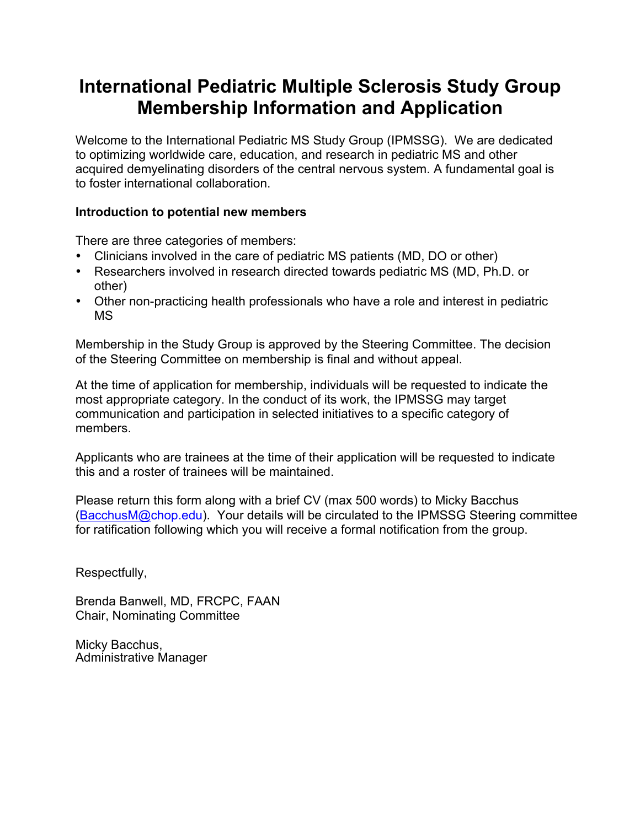# **International Pediatric Multiple Sclerosis Study Group Membership Information and Application**

Welcome to the International Pediatric MS Study Group (IPMSSG). We are dedicated to optimizing worldwide care, education, and research in pediatric MS and other acquired demyelinating disorders of the central nervous system. A fundamental goal is to foster international collaboration.

### **Introduction to potential new members**

There are three categories of members:

- Clinicians involved in the care of pediatric MS patients (MD, DO or other)
- Researchers involved in research directed towards pediatric MS (MD, Ph.D. or other)
- Other non-practicing health professionals who have a role and interest in pediatric MS

Membership in the Study Group is approved by the Steering Committee. The decision of the Steering Committee on membership is final and without appeal.

At the time of application for membership, individuals will be requested to indicate the most appropriate category. In the conduct of its work, the IPMSSG may target communication and participation in selected initiatives to a specific category of members.

Applicants who are trainees at the time of their application will be requested to indicate this and a roster of trainees will be maintained.

Please return this form along with a brief CV (max 500 words) to Micky Bacchus (BacchusM@chop.edu). Your details will be circulated to the IPMSSG Steering committee for ratification following which you will receive a formal notification from the group.

Respectfully,

Brenda Banwell, MD, FRCPC, FAAN Chair, Nominating Committee

Micky Bacchus, Administrative Manager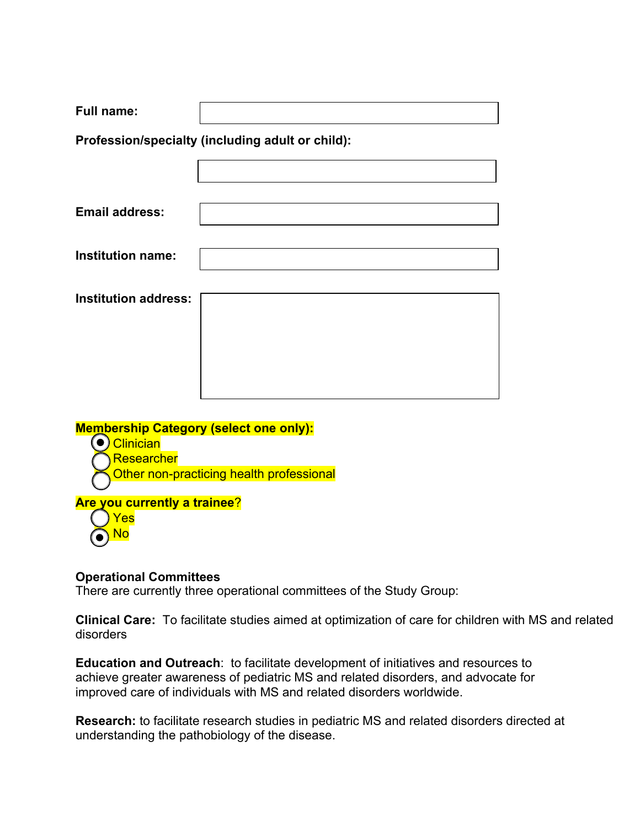| <b>Full name:</b>                                |  |
|--------------------------------------------------|--|
| Profession/specialty (including adult or child): |  |
|                                                  |  |
|                                                  |  |
| <b>Email address:</b>                            |  |
|                                                  |  |
| <b>Institution name:</b>                         |  |
| <b>Institution address:</b>                      |  |
|                                                  |  |
|                                                  |  |
|                                                  |  |
|                                                  |  |

## **Membership Category (select one only):**

- (●<mark>) Clinician</mark>
	- Researcher
	- Other non-practicing health professional

## **Are you currently a trainee**?



## **Operational Committees**

There are currently three operational committees of the Study Group:

**Clinical Care:** To facilitate studies aimed at optimization of care for children with MS and related disorders

**Education and Outreach**: to facilitate development of initiatives and resources to achieve greater awareness of pediatric MS and related disorders, and advocate for improved care of individuals with MS and related disorders worldwide.

**Research:** to facilitate research studies in pediatric MS and related disorders directed at understanding the pathobiology of the disease.